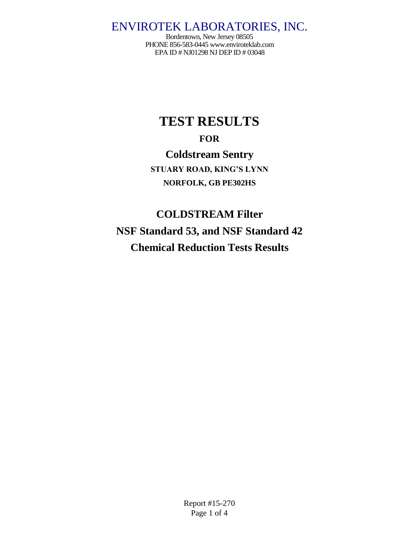Bordentown, New Jersey 08505 PHONE 856-583-044[5 www.enviroteklab.com](http://www.enviroteklab.com/) EPA ID # NJ01298 NJ DEP ID # 03048

# **TEST RESULTS FOR Coldstream Sentry**

**STUARY ROAD, KING'S LYNN NORFOLK, GB PE302HS**

# **COLDSTREAM Filter NSF Standard 53, and NSF Standard 42 Chemical Reduction Tests Results**

Report #15-270 Page 1 of 4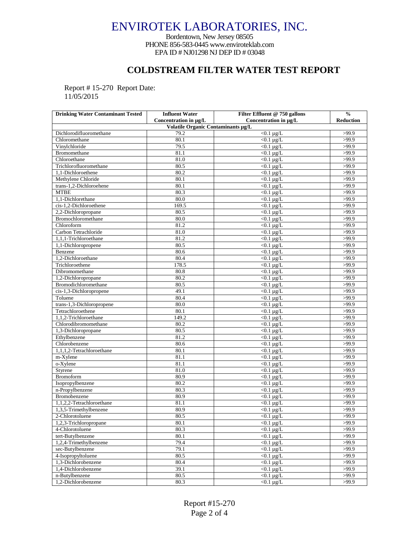Bordentown, New Jersey 08505 PHONE 856-583-044[5 www.enviroteklab.com](http://www.enviroteklab.com/) EPA ID # NJ01298 NJ DEP ID # 03048

### **COLDSTREAM FILTER WATER TEST REPORT**

Report # 15-270 Report Date: 11/05/2015

| <b>Drinking Water Contaminant Tested</b> | <b>Influent Water</b> | Filter Effluent @ 750 gallons | $\frac{0}{0}$    |  |  |  |
|------------------------------------------|-----------------------|-------------------------------|------------------|--|--|--|
|                                          | Concentration in µg/L | Concentration in µg/L         | <b>Reduction</b> |  |  |  |
| Volatile Organic Contaminants µg/L       |                       |                               |                  |  |  |  |
| Dichlorodifluoromethane                  | 79.2                  | $\overline{0.1}$ µg/L         | >99.9            |  |  |  |
| Chloromethane                            | 80.1                  | $<$ 0.1 µg/L                  | >99.9            |  |  |  |
| Vinylchloride                            | 79.5                  | $< 0.1 \mu g/L$               | >99.9            |  |  |  |
| Bromomethane                             | 81.1                  | $<$ 0.1 µg/L                  | >99.9            |  |  |  |
| Chloroethane                             | 81.0                  | $< 0.1 \mu g/L$               | >99.9            |  |  |  |
| Trichlorofluoromethane                   | 80.5                  | $<$ 0.1 µg/L                  | >99.9            |  |  |  |
| 1,1-Dichloroethene                       | 80.2                  | $<$ 0.1 µg/L                  | >99.9            |  |  |  |
| Methylene Chloride                       | 80.1                  | $\sqrt{0.1 \mu g/L}$          | >99.9            |  |  |  |
| trans-1,2-Dichloroehene                  | 80.1                  | $<$ 0.1 µg/L                  | >99.9            |  |  |  |
| <b>MTBE</b>                              | 80.3                  | $<$ 0.1 µg/L                  | >99.9            |  |  |  |
| 1,1-Dichlorethane                        | 80.0                  | $< 0.1 \mu g/L$               | >99.9            |  |  |  |
| cis-1,2-Dichloroethene                   | 169.5                 | $< 0.1 \mu g/L$               | >99.9            |  |  |  |
| 2,2-Dichloropropane                      | 80.5                  | $< 0.1 \mu g/L$               | >99.9            |  |  |  |
| Bromochloromethane                       | 80.0                  | $< 0.1 \mu g/L$               | >99.9            |  |  |  |
| Chloroform                               | 81.2                  | $< 0.1 \mu g/L$               | >99.9            |  |  |  |
| Carbon Tetrachloride                     | 81.0                  | $< 0.1 \mu g/L$               | >99.9            |  |  |  |
| 1,1,1-Trichloroethane                    | 81.2                  | $\sqrt{0.1 \mu g/L}$          | >99.9            |  |  |  |
| 1,1-Dichloropropene                      | 80.5                  | $< 0.1 \mu g/L$               | >99.9            |  |  |  |
| Benzene                                  | 80.6                  | $< 0.1 \mu g/L$               | >99.9            |  |  |  |
| 1.2-Dichloroethane                       | 80.4                  | $<$ 0.1 µg/L                  | >99.9            |  |  |  |
| Trichloroethene                          | 178.5                 | $<$ 0.1 µg/L                  | >99.9            |  |  |  |
| Dibromomethane                           | 80.8                  | $<$ 0.1 µg/L                  | >99.9            |  |  |  |
| 1,2-Dichloropropane                      | 80.2                  | $< 0.1 \mu g/L$               | >99.9            |  |  |  |
| Bromodichloromethane                     | 80.5                  | $< 0.1 \mu g/L$               | >99.9            |  |  |  |
| cis-1,3-Dichloropropene                  | 49.1                  | $< 0.1 \mu g/L$               | >99.9            |  |  |  |
| Toluene                                  | 80.4                  | $<$ 0.1 µg/L                  | >99.9            |  |  |  |
| trans-1,3-Dichloropropene                | 80.0                  | $< 0.1 \mu g/L$               | >99.9            |  |  |  |
| Tetrachloroethene                        | 80.1                  | $<$ 0.1 µg/L                  | >99.9            |  |  |  |
| 1,1,2-Trichloroethane                    | 149.2                 | $\sqrt{0.1 \mu g/L}$          | >99.9            |  |  |  |
| Chlorodibromomethane                     | 80.2                  | $<$ 0.1 µg/L                  | >99.9            |  |  |  |
| 1,3-Dichloropropane                      | 80.5                  | $\overline{<}0.1$ µg/L        | >99.9            |  |  |  |
| Ethylbenzene                             | 81.2                  | $<$ 0.1 µg/L                  | >99.9            |  |  |  |
| Chlorobenzene                            | 80.6                  | $< 0.1 \mu g/L$               | >99.9            |  |  |  |
| 1,1,1,2-Tetrachloroethane                | 80.1                  | $<$ 0.1 µg/L                  | >99.9            |  |  |  |
| m-Xylene                                 | 81.1                  | $<$ 0.1 µg/L                  | >99.9            |  |  |  |
| o-Xylene                                 | 81.1                  | $< 0.1 \mu g/L$               | >99.9            |  |  |  |
| Styrene                                  | 81.0                  | $<$ 0.1 µg/L                  | >99.9            |  |  |  |
| <b>Bromoform</b>                         | 80.9                  | $\sqrt{0.1 \mu g/L}$          | >99.9            |  |  |  |
| Isopropylbenzene                         | 80.2                  | $< 0.1 \mu g/L$               | >99.9            |  |  |  |
| n-Propylbenzene                          | 80.3                  | $<$ 0.1 µg/L                  | >99.9            |  |  |  |
| Bromobenzene                             | 80.9                  | $<$ 0.1 µg/L                  | >99.9            |  |  |  |
| 1,1,2,2-Tetrachloroethane                | 81.1                  | $\sqrt{0.1 \mu g/L}$          | >99.9            |  |  |  |
| 1,3,5-Trimethylbenzene                   | 80.9                  | $<$ 0.1 µg/L                  | >99.9            |  |  |  |
| 2-Chlorotoluene                          | 80.5                  | $<$ 0.1 µg/L                  | >99.9            |  |  |  |
| 1,2,3-Trichloropropane                   | 80.1                  | $< 0.1 \mu g/L$               | >99.9            |  |  |  |
| 4-Chlorotoluene                          | 80.3                  | $< 0.1 \mu g/L$               | >99.9            |  |  |  |
| tert-Butylbenzene                        | 80.1                  | $<0.1 \mu g/L$                | >99.9            |  |  |  |
| 1,2,4-Trimethylbenzene                   | 79.4                  | $< 0.1 \mu g/L$               | >99.9            |  |  |  |
| sec-Butylbenzene                         | 79.1                  | $< 0.1 \mu g/L$               | >99.9            |  |  |  |
| 4-Isopropyltoluene                       | 80.5                  | $< 0.1 \mu g/L$               | >99.9            |  |  |  |
| 1,3-Dichlorobenzene                      | 80.4                  | $< 0.1 \mu g/L$               | >99.9            |  |  |  |
| 1,4-Dichlorobenzene                      | 39.1                  | $<0.1 \mu g/L$                | >99.9            |  |  |  |
| n-Butylbenzene                           | 80.5                  | $<$ 0.1 µg/L                  | >99.9            |  |  |  |
| 1.2-Dichlorobenzene                      | 80.3                  | $< 0.1 \mu g/L$               | >99.9            |  |  |  |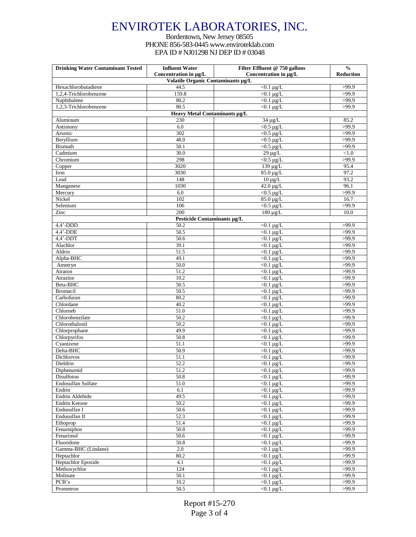#### Bordentown, New Jersey 08505 PHONE 856-583-044[5 www.enviroteklab.com](http://www.enviroteklab.com/) EPA ID # NJ01298 NJ DEP ID # 03048

| <b>Drinking Water Contaminant Tested</b> | <b>Influent Water</b>              | Filter Effluent @ 750 gallons            | $\frac{0}{0}$    |
|------------------------------------------|------------------------------------|------------------------------------------|------------------|
|                                          | Concentration in µg/L              | Concentration in µg/L                    | <b>Reduction</b> |
|                                          | Volatile Organic Contaminants µg/L |                                          |                  |
| Hexachlorobutadiene                      | 44.5                               | $<$ 0.1 µg/L                             | >99.9            |
| 1,2,4-Trichlorobenzene                   | 159.8<br>80.2                      | $<$ 0.1 µg/L<br>$\overline{0.1 \mu g/L}$ | >99.9            |
| Naphthalene<br>1,2,3-Trichlorobenzene    | 80.5                               | $<$ 0.1 µg/L                             | >99.9<br>>99.9   |
|                                          | Heavy Metal Contaminants µg/L      |                                          |                  |
| Aluminum                                 | 230                                | $34 \mu g/L$                             | 85.2             |
| Antimony                                 | 6.0                                | $<$ 0.5 µg/L                             | >99.9            |
| Arsenic                                  | 302                                | $<$ 0.5 µg/L                             | >99.9            |
| Beryllium                                | 48.0                               | $<$ 0.5 µg/L                             | >99.9            |
| <b>Bismuth</b>                           | 50.1                               | $<$ 0.5 µg/L                             | >99.9            |
| Cadmium                                  | 30.0                               | $29 \mu g/L$                             | $<1.0$           |
| Chromium                                 | 298                                | $<$ 0.5 µg/L                             | >99.9            |
| Copper                                   | 3020                               | 139 μg/L                                 | 95.4             |
| Iron                                     | 3030                               | 85.0 µg/L                                | 97.2             |
| Lead                                     | 148                                | $10 \mu g/L$                             | 93.2             |
| Manganese                                | 1030                               | $42.0 \mu g/L$                           | 96.1             |
| Mercury                                  | 6.0                                | $<$ 0.5 µg/L                             | >99.9            |
| Nickel                                   | 102                                | 85.0 µg/L                                | 16.7             |
| Selenium                                 | 106                                | $<$ 0.5 µg/L                             | >99.9            |
| Zinc                                     | 200                                | $180 \mu g/L$                            | 10.0             |
|                                          | Pesticide Contaminants µg/L        |                                          |                  |
| $4,4'$ -DDD                              | 50.2                               | $<$ 0.1 µg/L                             | >99.9            |
| $4,4$ <sup>-</sup> -DDE                  | $\overline{50.5}$                  | $< 0.1 \mu g/L$                          | >99.9            |
| $4,4'$ -DDT                              | 50.6                               | $<$ 0.1 µg/L                             | >99.9            |
| Alachlor<br>Aldrin                       | 39.1<br>51.5                       | $<$ 0.1 µg/L<br>$< 0.1 \mu g/L$          | >99.9<br>>99.9   |
| Alpha-BHC                                | 49.1                               | $<$ 0.1 µg/L                             | >99.9            |
| Ametryn                                  | 50.0                               | $< 0.1 \mu g/L$                          | >99.9            |
| Atraton                                  | 51.2                               | $<$ 0.1 µg/L                             | >99.9            |
| Atrazine                                 | 10.2                               | $<$ 0.1 µg/L                             | >99.9            |
| Beta-BHC                                 | 50.5                               | $< 0.1 \mu g/L$                          | >99.9            |
| <b>Bromacil</b>                          | 50.5                               | $< 0.1 \mu g/L$                          | >99.9            |
| Carbofuran                               | 80.2                               | $<$ 0.1 µg/L                             | >99.9            |
| Chlordane                                | 40.2                               | $<$ 0.1 µg/L                             | >99.9            |
| Chlorneb                                 | 51.0                               | $< 0.1 \mu g/L$                          | >99.9            |
| Chlorobenzilate                          | 50.2                               | $<$ 0.1 µg/L                             | >99.9            |
| Chlorothalonil                           | 50.2                               | $<$ 0.1 µg/L                             | >99.9            |
| Chlorprophane                            | 49.9                               | $<$ 0.1 µg/L                             | >99.9            |
| Chlorpyrifos                             | 50.8                               | $<$ 0.1 µg/L                             | >99.9            |
| Cyanizene                                | 51.1                               | $< 0.1 \mu g/L$                          | >99.9            |
| Delta-BHC                                | 50.9                               | $<$ 0.1 µg/L                             | >99.9            |
| Dichlorvos                               | 51.1                               | $< 0.1 \mu g/L$                          | >99.9            |
| Dieldrin                                 | 52.2                               | $<$ 0.1 µg/L                             | >99.9            |
| Diphenamid                               | 51.2                               | $< 0.1 \mu g/L$                          | >99.9            |
| Disulfoton                               | 50.8                               | $<0.1 \mu g/L$                           | >99.9            |
| Endosulfan Sulfate                       | 51.0                               | $<0.1 \mu g/L$<br>$< 0.1 \mu g/L$        | >99.9            |
| Endrin<br>Endrin Aldehide                | 6.1<br>49.5                        | $< 0.1 \mu g/L$                          | >99.9<br>>99.9   |
| <b>Endrin Ketone</b>                     | 50.2                               | $<0.1 \mu g/L$                           | >99.9            |
| Endusulfan I                             | 50.6                               | $<0.1 \mu g/L$                           | >99.9            |
| Endusulfan II                            | 52.3                               | $< 0.1 \mu g/L$                          | >99.9            |
| Ethoprop                                 | 51.4                               | $<$ 0.1 µg/L                             | >99.9            |
| Fenamiphos                               | 50.8                               | $< 0.1 \mu g/L$                          | >99.9            |
| Fenarimol                                | 50.6                               | $<0.1 \mu g/L$                           | >99.9            |
| Fluoridone                               | 50.8                               | $< 0.1 \mu g/L$                          | >99.9            |
| Gamma-BHC (Lindane)                      | 2.0                                | $<0.1 \mu g/L$                           | >99.9            |
| Heptachlor                               | 80.2                               | $< 0.1 \mu g/L$                          | >99.9            |
| Heptachlor Epoxide                       | 4.1                                | $<$ 0.1 µg/L                             | >99.9            |
| Methoxychlor                             | 124                                | $<0.1 \mu g/L$                           | >99.9            |
| Molinate                                 | 50.1                               | $<0.1 \mu g/L$                           | >99.9            |
| PCB's                                    | 10.2                               | $<0.1 \mu g/L$                           | >99.9            |
| Prometron                                | $50.5\,$                           | $< 0.1 \mu g/L$                          | >99.9            |